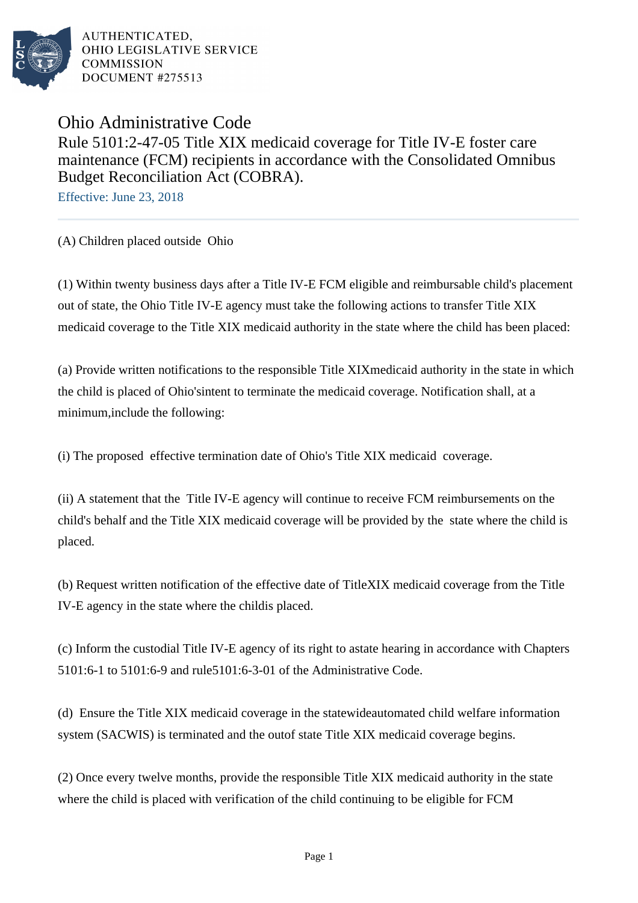

AUTHENTICATED. OHIO LEGISLATIVE SERVICE **COMMISSION** DOCUMENT #275513

Ohio Administrative Code Rule 5101:2-47-05 Title XIX medicaid coverage for Title IV-E foster care maintenance (FCM) recipients in accordance with the Consolidated Omnibus Budget Reconciliation Act (COBRA).

Effective: June 23, 2018

(A) Children placed outside Ohio

(1) Within twenty business days after a Title IV-E FCM eligible and reimbursable child's placement out of state, the Ohio Title IV-E agency must take the following actions to transfer Title XIX medicaid coverage to the Title XIX medicaid authority in the state where the child has been placed:

(a) Provide written notifications to the responsible Title XIX medicaid authority in the state in which the child is placed of Ohio's intent to terminate the medicaid coverage. Notification shall, at a minimum, include the following:

(i) The proposed effective termination date of Ohio's Title XIX medicaid coverage.

(ii) A statement that the Title IV-E agency will continue to receive FCM reimbursements on the child's behalf and the Title XIX medicaid coverage will be provided by the state where the child is placed.

(b) Request written notification of the effective date of Title XIX medicaid coverage from the Title IV-E agency in the state where the child is placed.

(c) Inform the custodial Title IV-E agency of its right to a state hearing in accordance with Chapters 5101:6-1 to 5101:6-9 and rule 5101:6-3-01 of the Administrative Code.

(d) Ensure the Title XIX medicaid coverage in the statewide automated child welfare information system (SACWIS) is terminated and the out of state Title XIX medicaid coverage begins.

(2) Once every twelve months, provide the responsible Title XIX medicaid authority in the state where the child is placed with verification of the child continuing to be eligible for FCM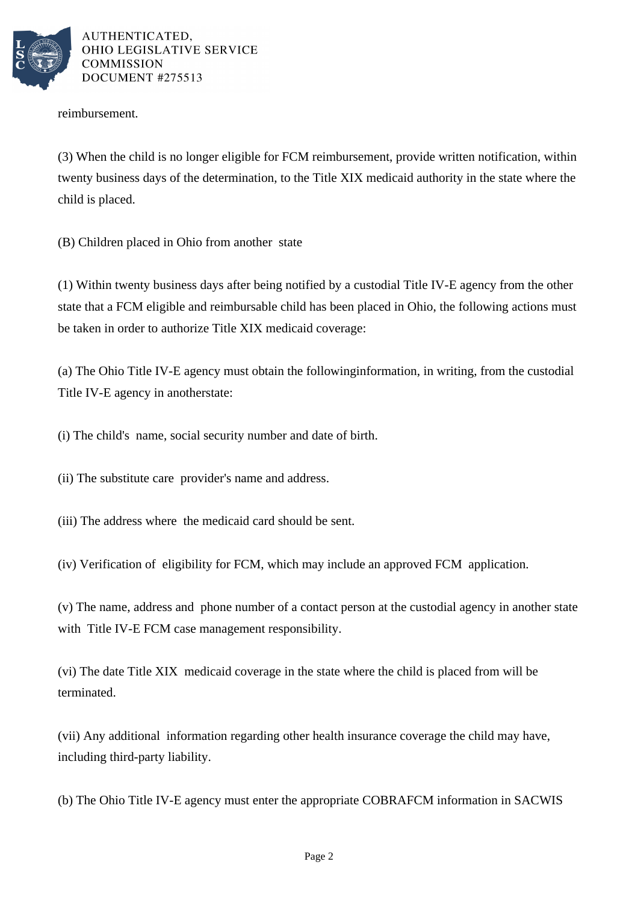

AUTHENTICATED. OHIO LEGISLATIVE SERVICE **COMMISSION** DOCUMENT #275513

reimbursement.

(3) When the child is no longer eligible for FCM reimbursement, provide written notification, within twenty business days of the determination, to the Title XIX medicaid authority in the state where the child is placed.

(B) Children placed in Ohio from another state

 $(1)$  Within twenty business days after being notified by a custodial Title IV-E agency from the other state that a FCM eligible and reimbursable child has been placed in Ohio, the following actions must be taken in order to authorize Title XIX medicaid coverage:

(a) The Ohio Title IV-E agency must obtain the following information, in writing, from the custodial Title IV-E agency in another state:

(i) The child's name, social security number and date of birth.

(ii) The substitute care provider's name and address.

(iii) The address where the medicaid card should be sent.

(iv) Verification of eligibility for FCM, which may include an approved FCM application.

(v) The name, address and phone number of a contact person at the custodial agency in another state with Title IV-E FCM case management responsibility.

(vi) The date Title XIX medicaid coverage in the state where the child is placed from will be terminated.

(vii) Any additional information regarding other health insurance coverage the child may have, including third-party liability.

(b) The Ohio Title IV-E agency must enter the appropriate COBRA FCM information in SACWIS